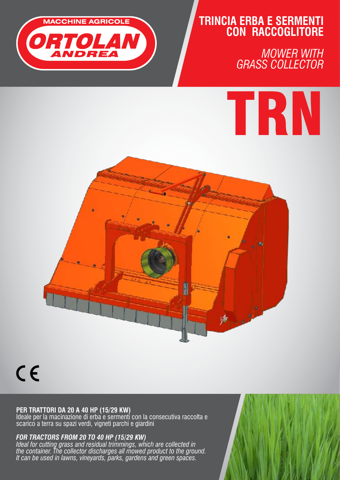

# **TRINCIA ERBA E SERMENTI CON RACCOGLITORE**

*MOWER WITH GRASS COLLECTOR* 





 $C \in$ 

### **per trattori DA 20 A 40 HP (15/29 KW)**

Ideale per la macinazione di erba e sermenti con la consecutiva raccolta e scarico a terra su spazi verdi, vigneti parchi e giardini

## *FOR TRACTORS FROM 20 TO 40 HP (15/29 KW)*

*Ideal for cutting grass and residual trimmings, which are collected in the container. The collector discharges all mowed product to the ground. It can be used in lawns, vineyards, parks, gardens and green spaces.*